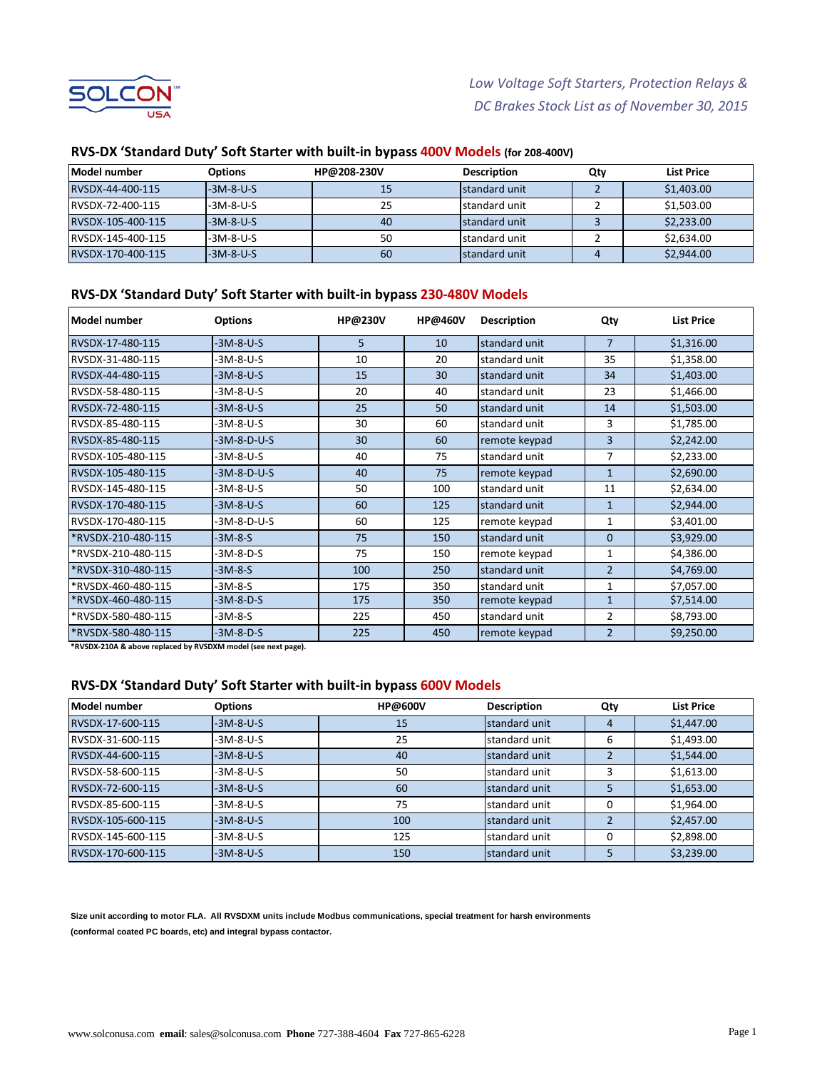

| lModel number     | <b>Options</b> | HP@208-230V | <b>Description</b> | Qty | List Price |
|-------------------|----------------|-------------|--------------------|-----|------------|
| RVSDX-44-400-115  | $-3M-8-U-S$    | 15          | Istandard unit     |     | \$1,403.00 |
| IRVSDX-72-400-115 | $-3M-8-U-S$    | 25          | standard unit      |     | \$1,503.00 |
| RVSDX-105-400-115 | $-3M-8-U-S$    | 40          | standard unit      |     | \$2,233.00 |
| RVSDX-145-400-115 | $-3M-8-U-S$    | 50          | standard unit      |     | \$2,634.00 |
| RVSDX-170-400-115 | $-3M-8-U-S$    | 60          | Istandard unit     | 4   | \$2,944.00 |

#### **RVS-DX 'Standard Duty' Soft Starter with built-in bypass 400V Models (for 208-400V)**

#### **RVS-DX 'Standard Duty' Soft Starter with built-in bypass 230-480V Models**

| Model number       | <b>Options</b> | <b>HP@230V</b> | <b>HP@460V</b> | <b>Description</b> | Qty            | <b>List Price</b> |
|--------------------|----------------|----------------|----------------|--------------------|----------------|-------------------|
| RVSDX-17-480-115   | $-3M-8-U-S$    | 5              | 10             | standard unit      | $\overline{7}$ | \$1,316.00        |
| RVSDX-31-480-115   | $-3M-8-U-S$    | 10             | 20             | standard unit      | 35             | \$1,358.00        |
| RVSDX-44-480-115   | $-3M-8-U-S$    | 15             | 30             | standard unit      | 34             | \$1,403.00        |
| RVSDX-58-480-115   | -3M-8-U-S      | 20             | 40             | standard unit      | 23             | \$1,466.00        |
| RVSDX-72-480-115   | $-3M-8-U-S$    | 25             | 50             | standard unit      | 14             | \$1,503.00        |
| RVSDX-85-480-115   | $-3M-8-U-S$    | 30             | 60             | standard unit      | 3              | \$1,785.00        |
| RVSDX-85-480-115   | $-3M-8-D-U-S$  | 30             | 60             | remote keypad      | 3              | \$2,242.00        |
| RVSDX-105-480-115  | -3M-8-U-S      | 40             | 75             | standard unit      | 7              | \$2,233.00        |
| RVSDX-105-480-115  | $-3M-8-D-U-S$  | 40             | 75             | remote keypad      | $\overline{1}$ | \$2,690.00        |
| RVSDX-145-480-115  | $-3M-8-U-S$    | 50             | 100            | standard unit      | 11             | \$2,634.00        |
| RVSDX-170-480-115  | $-3M-8-U-S$    | 60             | 125            | standard unit      | $\mathbf{1}$   | \$2,944.00        |
| RVSDX-170-480-115  | -3M-8-D-U-S    | 60             | 125            | remote keypad      | 1              | \$3,401.00        |
| *RVSDX-210-480-115 | $-3M-8-S$      | 75             | 150            | standard unit      | $\Omega$       | \$3,929.00        |
| *RVSDX-210-480-115 | $-3M-8-D-S$    | 75             | 150            | remote keypad      | $\mathbf{1}$   | \$4,386.00        |
| *RVSDX-310-480-115 | $-3M-8-S$      | 100            | 250            | standard unit      | $\overline{2}$ | \$4,769.00        |
| *RVSDX-460-480-115 | $-3M-8-S$      | 175            | 350            | standard unit      | 1              | \$7,057.00        |
| *RVSDX-460-480-115 | $-3M-8-D-S$    | 175            | 350            | remote keypad      | 1              | \$7,514.00        |
| *RVSDX-580-480-115 | -3M-8-S        | 225            | 450            | standard unit      | 2              | \$8,793.00        |
| *RVSDX-580-480-115 | $-3M-8-D-S$    | 225            | 450            | remote keypad      | $\overline{2}$ | \$9,250.00        |

**\*RVSDX-210A & above replaced by RVSDXM model (see next page).**

#### **RVS-DX 'Standard Duty' Soft Starter with built-in bypass 600V Models**

| Model number      | <b>Options</b> | <b>HP@600V</b> | <b>Description</b> | Qty | <b>List Price</b> |
|-------------------|----------------|----------------|--------------------|-----|-------------------|
| RVSDX-17-600-115  | $-3M-8-U-S$    | 15             | standard unit      | 4   | \$1,447.00        |
| RVSDX-31-600-115  | -3M-8-U-S      | 25             | standard unit      | 6   | \$1,493.00        |
| RVSDX-44-600-115  | $-3M-8-U-S$    | 40             | standard unit      |     | \$1,544.00        |
| RVSDX-58-600-115  | $-3M-8-U-S$    | 50             | standard unit      |     | \$1,613.00        |
| RVSDX-72-600-115  | -3M-8-U-S      | 60             | standard unit      |     | \$1,653.00        |
| RVSDX-85-600-115  | -3M-8-U-S      | 75             | standard unit      | 0   | \$1,964.00        |
| RVSDX-105-600-115 | $-3M-8-U-S$    | 100            | standard unit      |     | \$2,457.00        |
| RVSDX-145-600-115 | $-3M-8-U-S$    | 125            | standard unit      |     | \$2,898.00        |
| RVSDX-170-600-115 | $-3M-8-U-S$    | 150            | standard unit      |     | \$3,239.00        |

**Size unit according to motor FLA. All RVSDXM units include Modbus communications, special treatment for harsh environments (conformal coated PC boards, etc) and integral bypass contactor.**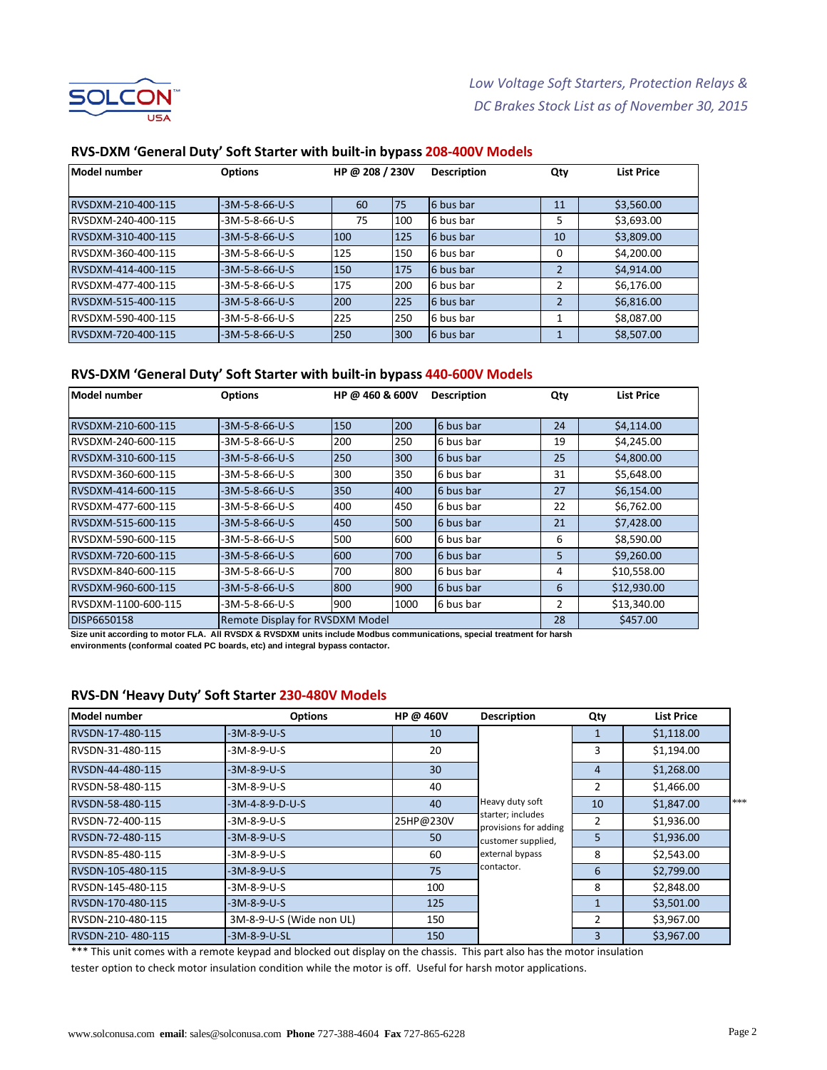

| Model number       | <b>Options</b>   | HP @ 208 / 230V |     | <b>Description</b> | Qty            | <b>List Price</b> |
|--------------------|------------------|-----------------|-----|--------------------|----------------|-------------------|
|                    |                  |                 |     |                    |                |                   |
| RVSDXM-210-400-115 | $-3M-5-8-66-U-S$ | 60              | 75  | 6 bus bar          | 11             | \$3,560.00        |
| RVSDXM-240-400-115 | $-3M-5-8-66-U-S$ | 75              | 100 | 6 bus bar          | 5              | \$3,693.00        |
| RVSDXM-310-400-115 | $-3M-5-8-66-U-S$ | 100             | 125 | 6 bus bar          | 10             | \$3,809.00        |
| RVSDXM-360-400-115 | $-3M-5-8-66-U-S$ | 125             | 150 | 6 bus bar          | 0              | \$4,200.00        |
| RVSDXM-414-400-115 | $-3M-5-8-66-U-S$ | 150             | 175 | 6 bus bar          | $\mathfrak{p}$ | \$4,914.00        |
| RVSDXM-477-400-115 | -3M-5-8-66-U-S   | 175             | 200 | 6 bus bar          | 2              | \$6,176.00        |
| RVSDXM-515-400-115 | $-3M-5-8-66-U-S$ | 200             | 225 | 16 bus bar         | 2              | \$6,816.00        |
| RVSDXM-590-400-115 | -3M-5-8-66-U-S   | 225             | 250 | 6 bus bar          |                | \$8,087.00        |
| RVSDXM-720-400-115 | $-3M-5-8-66-U-S$ | <b>250</b>      | 300 | 6 bus bar          |                | \$8,507.00        |

#### **RVS-DXM 'General Duty' Soft Starter with built-in bypass 208-400V Models**

# **RVS-DXM 'General Duty' Soft Starter with built-in bypass 440-600V Models**

| Model number        | <b>Options</b>                         | HP @ 460 & 600V |      | <b>Description</b> | Qty | <b>List Price</b> |
|---------------------|----------------------------------------|-----------------|------|--------------------|-----|-------------------|
|                     |                                        |                 |      |                    |     |                   |
| RVSDXM-210-600-115  | $-3M-5-8-66-U-S$                       | 150             | 200  | 6 bus bar          | 24  | \$4,114.00        |
| RVSDXM-240-600-115  | -3M-5-8-66-U-S                         | 200             | 250  | 6 bus bar          | 19  | \$4,245.00        |
| RVSDXM-310-600-115  | -3M-5-8-66-U-S                         | 250             | 300  | 6 bus bar          | 25  | \$4,800.00        |
| RVSDXM-360-600-115  | -3M-5-8-66-U-S                         | 300             | 350  | 6 bus bar          | 31  | \$5,648.00        |
| RVSDXM-414-600-115  | -3M-5-8-66-U-S                         | 350             | 400  | 6 bus bar          | 27  | \$6,154.00        |
| RVSDXM-477-600-115  | -3M-5-8-66-U-S                         | 400             | 450  | 6 bus bar          | 22  | \$6,762.00        |
| RVSDXM-515-600-115  | -3M-5-8-66-U-S                         | 450             | 500  | 6 bus bar          | 21  | \$7,428.00        |
| RVSDXM-590-600-115  | -3M-5-8-66-U-S                         | 500             | 600  | 6 bus bar          | 6   | \$8,590.00        |
| RVSDXM-720-600-115  | -3M-5-8-66-U-S                         | 600             | 700  | 6 bus bar          | 5   | \$9,260.00        |
| RVSDXM-840-600-115  | -3M-5-8-66-U-S                         | 700             | 800  | 6 bus bar          | 4   | \$10,558.00       |
| RVSDXM-960-600-115  | -3M-5-8-66-U-S                         | 800             | 900  | 6 bus bar          | 6   | \$12,930.00       |
| RVSDXM-1100-600-115 | -3M-5-8-66-U-S                         | 900             | 1000 | 6 bus bar          | 2   | \$13,340.00       |
| <b>DISP6650158</b>  | <b>Remote Display for RVSDXM Model</b> |                 |      |                    |     | \$457.00          |

**Size unit according to motor FLA. All RVSDX & RVSDXM units include Modbus communications, special treatment for harsh environments (conformal coated PC boards, etc) and integral bypass contactor.**

#### **RVS-DN 'Heavy Duty' Soft Starter 230-480V Models**

| Model number      | <b>Options</b>           | HP @ 460V | <b>Description</b>                         | Qty | <b>List Price</b> |     |
|-------------------|--------------------------|-----------|--------------------------------------------|-----|-------------------|-----|
| RVSDN-17-480-115  | $-3M-8-9-U-S$            | 10        |                                            |     | \$1,118.00        |     |
| RVSDN-31-480-115  | -3M-8-9-U-S              | 20        |                                            | 3   | \$1,194.00        |     |
| RVSDN-44-480-115  | -3M-8-9-U-S              | 30        |                                            | 4   | \$1,268.00        |     |
| RVSDN-58-480-115  | -3M-8-9-U-S              | 40        |                                            | 2   | \$1,466.00        |     |
| RVSDN-58-480-115  | -3M-4-8-9-D-U-S          | 40        | Heavy duty soft                            | 10  | \$1,847.00        | *** |
| RVSDN-72-400-115  | -3M-8-9-U-S              | 25HP@230V | starter; includes<br>provisions for adding | 2   | \$1,936.00        |     |
| RVSDN-72-480-115  | -3M-8-9-U-S              | 50        | customer supplied,                         | 5   | \$1,936.00        |     |
| RVSDN-85-480-115  | -3M-8-9-U-S              | 60        | external bypass                            | 8   | \$2,543.00        |     |
| RVSDN-105-480-115 | -3M-8-9-U-S              | 75        | contactor.                                 | 6   | \$2,799.00        |     |
| RVSDN-145-480-115 | -3M-8-9-U-S              | 100       |                                            | 8   | \$2,848.00        |     |
| RVSDN-170-480-115 | -3M-8-9-U-S              | 125       |                                            |     | \$3,501.00        |     |
| RVSDN-210-480-115 | 3M-8-9-U-S (Wide non UL) | 150       |                                            | 2   | \$3,967.00        |     |
| RVSDN-210-480-115 | -3M-8-9-U-SL             | 150       |                                            | 3   | \$3,967.00        |     |

\*\*\* This unit comes with a remote keypad and blocked out display on the chassis. This part also has the motor insulation tester option to check motor insulation condition while the motor is off. Useful for harsh motor applications.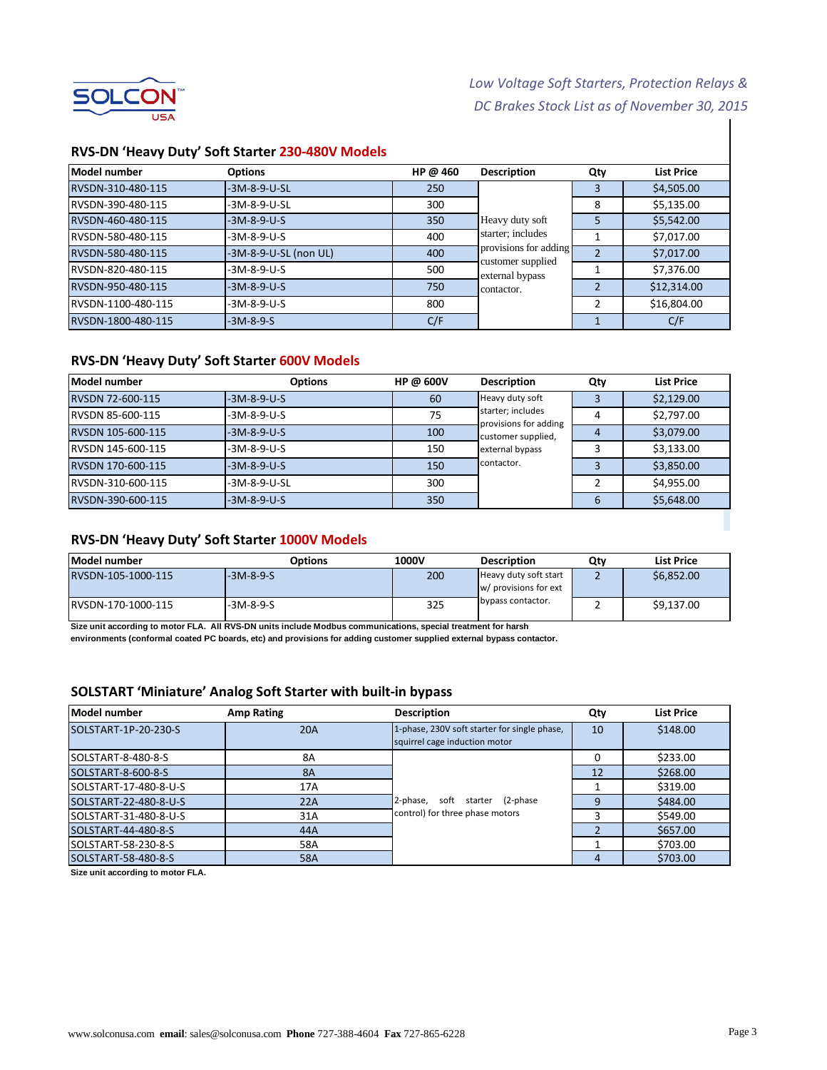

# *Low Voltage Soft Starters, Protection Relays & DC Brakes Stock List as of November 30, 2015*

#### **RVS-DN 'Heavy Duty' Soft Starter 230-480V Models**

| Model number       | <b>Options</b>        | HP @ $460$ | <b>Description</b>                   | Qty | <b>List Price</b> |
|--------------------|-----------------------|------------|--------------------------------------|-----|-------------------|
| RVSDN-310-480-115  | $-3M-8-9-U-SL$        | 250        |                                      |     | \$4,505.00        |
| RVSDN-390-480-115  | -3M-8-9-U-SL          | 300        |                                      | 8   | \$5,135.00        |
| RVSDN-460-480-115  | $-3M-8-9-U-S$         | 350        | Heavy duty soft                      | 5   | \$5,542.00        |
| RVSDN-580-480-115  | $-3M-8-9-U-S$         | 400        | starter; includes                    |     | \$7,017.00        |
| RVSDN-580-480-115  | -3M-8-9-U-SL (non UL) | 400        | provisions for adding                |     | \$7,017.00        |
| RVSDN-820-480-115  | $-3M-8-9-U-S$         | 500        | customer supplied<br>external bypass |     | \$7,376.00        |
| RVSDN-950-480-115  | $-3M-8-9-U-S$         | 750        | contactor.                           |     | \$12,314.00       |
| RVSDN-1100-480-115 | $-3M-8-9-U-S$         | 800        |                                      | 2   | \$16,804.00       |
| RVSDN-1800-480-115 | $-3M-8-9-S$           | C/F        |                                      |     | C/F               |

#### **RVS-DN 'Heavy Duty' Soft Starter 600V Models**

| Model number      | <b>Options</b> | HP @ 600V | <b>Description</b>                         | Qty | <b>List Price</b> |
|-------------------|----------------|-----------|--------------------------------------------|-----|-------------------|
| RVSDN 72-600-115  | $-3M-8-9-U-S$  | 60        | Heavy duty soft                            |     | \$2,129.00        |
| RVSDN 85-600-115  | $-3M-8-9-U-S$  | 75        | starter; includes<br>provisions for adding | 4   | \$2,797.00        |
| RVSDN 105-600-115 | $-3M-8-9-U-S$  | 100       | customer supplied,                         | 4   | \$3,079.00        |
| RVSDN 145-600-115 | $-3M-8-9-U-S$  | 150       | external bypass                            |     | \$3,133.00        |
| RVSDN 170-600-115 | $-3M-8-9-U-S$  | 150       | contactor.                                 |     | \$3,850.00        |
| RVSDN-310-600-115 | $-3M-8-9-U-SL$ | 300       |                                            |     | \$4,955.00        |
| RVSDN-390-600-115 | $-3M-8-9-U-S$  | 350       |                                            | 6   | \$5,648.00        |

#### **RVS-DN 'Heavy Duty' Soft Starter 1000V Models**

| Model number       | <b>Options</b> | 1000V | <b>Description</b>                             | Qtv | <b>List Price</b> |
|--------------------|----------------|-------|------------------------------------------------|-----|-------------------|
| RVSDN-105-1000-115 | $-3M-8-9-S$    | 200   | Heavy duty soft start<br>w/ provisions for ext |     | \$6,852.00        |
| RVSDN-170-1000-115 | $-3M-8-9-S$    | 325   | bypass contactor.                              |     | \$9,137.00        |

**Size unit according to motor FLA. All RVS-DN units include Modbus communications, special treatment for harsh**

**environments (conformal coated PC boards, etc) and provisions for adding customer supplied external bypass contactor.**

### **SOLSTART 'Miniature' Analog Soft Starter with built-in bypass**

| Model number          | <b>Amp Rating</b> | <b>Description</b>                                                            | Qty | <b>List Price</b> |
|-----------------------|-------------------|-------------------------------------------------------------------------------|-----|-------------------|
| SOLSTART-1P-20-230-S  | <b>20A</b>        | 1-phase, 230V soft starter for single phase,<br>squirrel cage induction motor | 10  | \$148.00          |
| SOLSTART-8-480-8-S    | 8A                |                                                                               | 0   | \$233.00          |
| SOLSTART-8-600-8-S    | <b>8A</b>         |                                                                               | 12  | \$268.00          |
| SOLSTART-17-480-8-U-S | 17A               |                                                                               |     | \$319.00          |
| SOLSTART-22-480-8-U-S | 22A               | soft starter (2-phase<br>2-phase,                                             | q   | \$484.00          |
| SOLSTART-31-480-8-U-S | 31A               | control) for three phase motors                                               |     | \$549.00          |
| SOLSTART-44-480-8-S   | 44A               |                                                                               |     | \$657.00          |
| SOLSTART-58-230-8-S   | 58A               |                                                                               |     | \$703.00          |
| SOLSTART-58-480-8-S   | 58A               |                                                                               | 4   | \$703.00          |

**Size unit according to motor FLA.**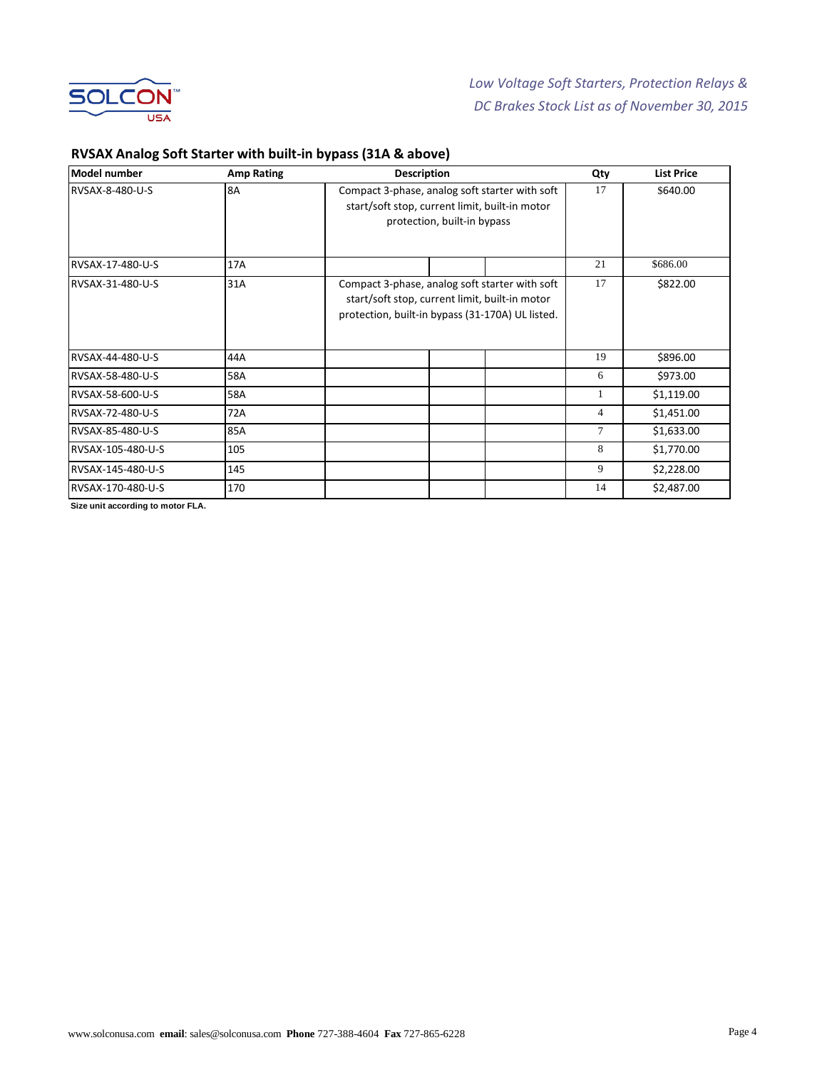

# **RVSAX Analog Soft Starter with built-in bypass (31A & above)**

| <b>Model number</b> | <b>Amp Rating</b> | <b>Description</b>                                                                                                                                   | Qty            | <b>List Price</b> |
|---------------------|-------------------|------------------------------------------------------------------------------------------------------------------------------------------------------|----------------|-------------------|
| RVSAX-8-480-U-S     | 8A                | Compact 3-phase, analog soft starter with soft<br>start/soft stop, current limit, built-in motor<br>protection, built-in bypass                      | 17             | \$640.00          |
| RVSAX-17-480-U-S    | 17A               |                                                                                                                                                      | 21             | \$686.00          |
| RVSAX-31-480-U-S    | 31A               | Compact 3-phase, analog soft starter with soft<br>start/soft stop, current limit, built-in motor<br>protection, built-in bypass (31-170A) UL listed. | 17             | \$822.00          |
| RVSAX-44-480-U-S    | 44A               |                                                                                                                                                      | 19             | \$896.00          |
| RVSAX-58-480-U-S    | 58A               |                                                                                                                                                      | 6              | \$973.00          |
| RVSAX-58-600-U-S    | 58A               |                                                                                                                                                      |                | \$1,119.00        |
| RVSAX-72-480-U-S    | 72A               |                                                                                                                                                      | $\overline{4}$ | \$1,451.00        |
| RVSAX-85-480-U-S    | 85A               |                                                                                                                                                      | 7              | \$1,633.00        |
| RVSAX-105-480-U-S   | 105               |                                                                                                                                                      | 8              | \$1,770.00        |
| RVSAX-145-480-U-S   | 145               |                                                                                                                                                      | 9              | \$2,228.00        |
| RVSAX-170-480-U-S   | 170               |                                                                                                                                                      | 14             | \$2,487.00        |

**Size unit according to motor FLA.**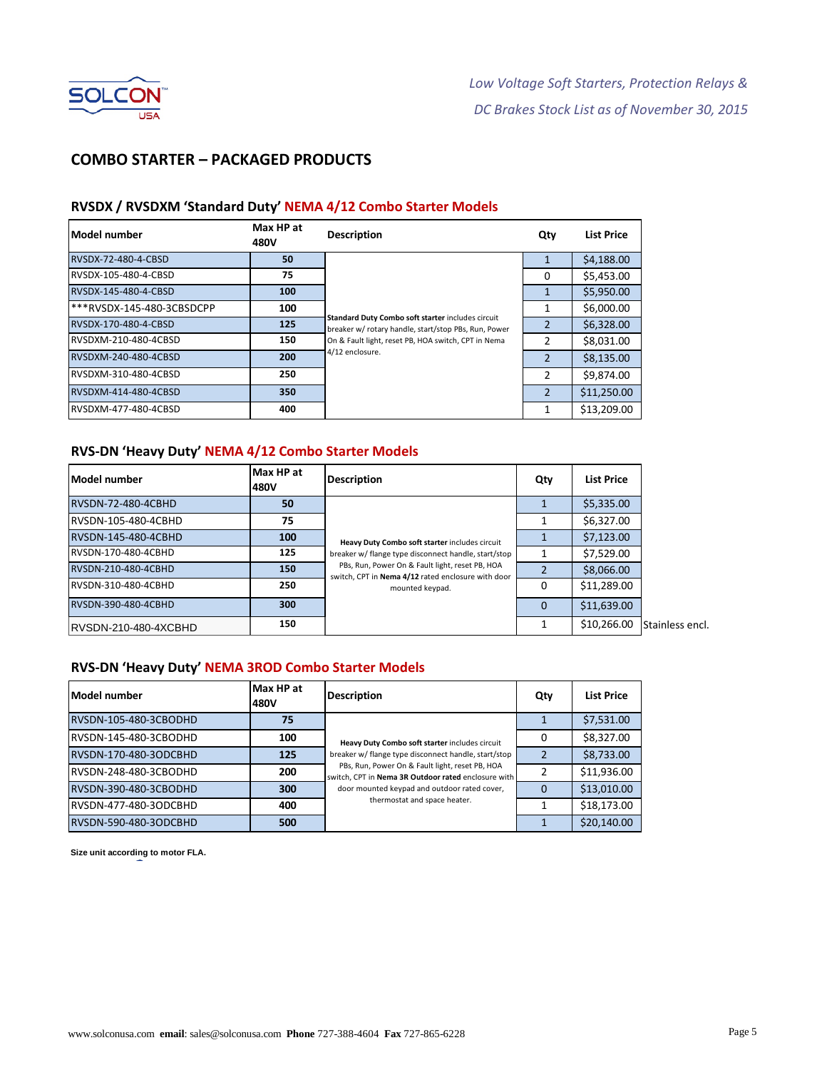

# **COMBO STARTER – PACKAGED PRODUCTS**

### **RVSDX / RVSDXM 'Standard Duty' NEMA 4/12 Combo Starter Models**

| Model number                          | Max HP at<br>480V | <b>Description</b>                                                                                        | Qty            | <b>List Price</b> |
|---------------------------------------|-------------------|-----------------------------------------------------------------------------------------------------------|----------------|-------------------|
| RVSDX-72-480-4-CBSD                   | 50                |                                                                                                           |                | \$4,188.00        |
| RVSDX-105-480-4-CBSD                  | 75                |                                                                                                           | 0              | \$5,453.00        |
| RVSDX-145-480-4-CBSD                  | 100               |                                                                                                           | 1              | \$5,950.00        |
| <sup>***</sup> RVSDX-145-480-3CBSDCPP | 100               |                                                                                                           |                | \$6,000.00        |
| RVSDX-170-480-4-CBSD                  | 125               | Standard Duty Combo soft starter includes circuit<br>breaker w/ rotary handle, start/stop PBs, Run, Power | $\overline{2}$ | \$6,328.00        |
| RVSDXM-210-480-4CBSD                  | 150               | On & Fault light, reset PB, HOA switch, CPT in Nema                                                       | 2              | \$8,031.00        |
| RVSDXM-240-480-4CBSD                  | 200               | 4/12 enclosure.                                                                                           | $\overline{z}$ | \$8,135.00        |
| RVSDXM-310-480-4CBSD                  | 250               |                                                                                                           | $\overline{2}$ | \$9,874.00        |
| RVSDXM-414-480-4CBSD                  | 350               |                                                                                                           | $\overline{2}$ | \$11,250.00       |
| RVSDXM-477-480-4CBSD                  | 400               |                                                                                                           | 1              | \$13,209.00       |

## **RVS-DN 'Heavy Duty' NEMA 4/12 Combo Starter Models**

| Model number           | Max HP at<br>480V | <b>Description</b>                                                                                                                                                                                                                 | Qty | <b>List Price</b> |                 |
|------------------------|-------------------|------------------------------------------------------------------------------------------------------------------------------------------------------------------------------------------------------------------------------------|-----|-------------------|-----------------|
| RVSDN-72-480-4CBHD     | 50                | Heavy Duty Combo soft starter includes circuit<br>breaker w/ flange type disconnect handle, start/stop<br>PBs, Run, Power On & Fault light, reset PB, HOA<br>switch, CPT in Nema 4/12 rated enclosure with door<br>mounted keypad. |     | \$5,335.00        |                 |
| RVSDN-105-480-4CBHD    | 75                |                                                                                                                                                                                                                                    |     | \$6,327.00        |                 |
| RVSDN-145-480-4CBHD    | 100               |                                                                                                                                                                                                                                    |     | \$7,123.00        |                 |
| RVSDN-170-480-4CBHD    | 125               |                                                                                                                                                                                                                                    |     | \$7,529.00        |                 |
| RVSDN-210-480-4CBHD    | 150               |                                                                                                                                                                                                                                    |     | \$8,066.00        |                 |
| RVSDN-310-480-4CBHD    | 250               |                                                                                                                                                                                                                                    | O   | \$11,289.00       |                 |
| RVSDN-390-480-4CBHD    | 300               |                                                                                                                                                                                                                                    | O   | \$11,639.00       |                 |
| IRVSDN-210-480-4XCBHD_ | 150               |                                                                                                                                                                                                                                    |     | \$10,266.00       | Stainless encl. |

#### **RVS-DN 'Heavy Duty' NEMA 3ROD Combo Starter Models**

| Model number          | Max HP at<br>480V | <b>Description</b>                                                                                                                                                                                                                                                                               | Qty | <b>List Price</b> |
|-----------------------|-------------------|--------------------------------------------------------------------------------------------------------------------------------------------------------------------------------------------------------------------------------------------------------------------------------------------------|-----|-------------------|
| RVSDN-105-480-3CBODHD | 75                | Heavy Duty Combo soft starter includes circuit<br>breaker w/ flange type disconnect handle, start/stop<br>PBs, Run, Power On & Fault light, reset PB, HOA<br>switch, CPT in Nema 3R Outdoor rated enclosure with<br>door mounted keypad and outdoor rated cover,<br>thermostat and space heater. |     | \$7,531.00        |
| RVSDN-145-480-3CBODHD | 100               |                                                                                                                                                                                                                                                                                                  | 0   | \$8,327.00        |
| RVSDN-170-480-3ODCBHD | 125               |                                                                                                                                                                                                                                                                                                  |     | \$8,733.00        |
| RVSDN-248-480-3CBODHD | 200               |                                                                                                                                                                                                                                                                                                  |     | \$11,936.00       |
| RVSDN-390-480-3CBODHD | 300               |                                                                                                                                                                                                                                                                                                  |     | \$13,010.00       |
| RVSDN-477-480-3ODCBHD | 400               |                                                                                                                                                                                                                                                                                                  |     | \$18,173.00       |
| RVSDN-590-480-3ODCBHD | 500               |                                                                                                                                                                                                                                                                                                  |     | \$20,140.00       |

**Size unit according to motor FLA.**